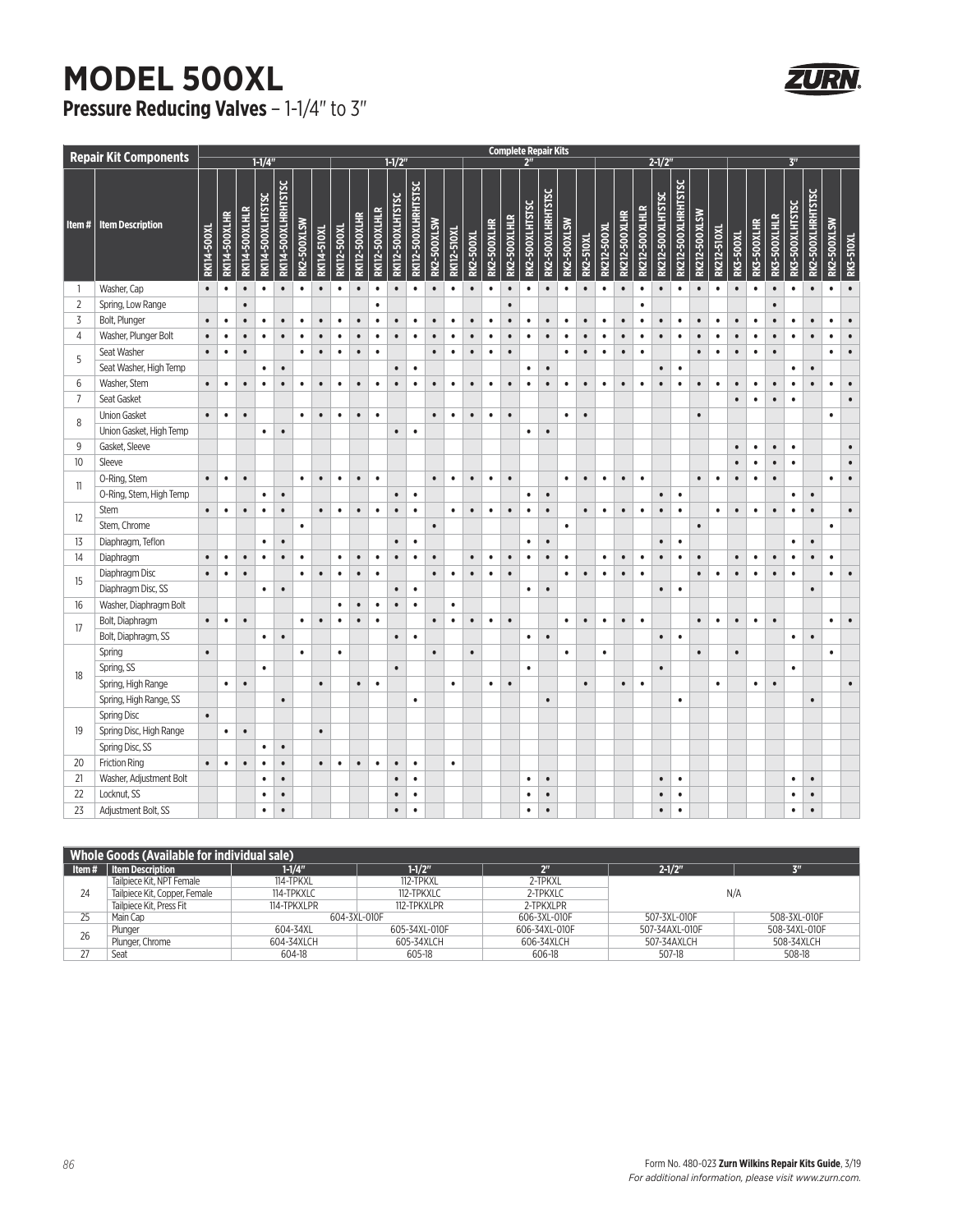## **MODEL 500XL Pressure Reducing Valves - 1-1/4" to 3"**

| <b>Repair Kit Components</b> |                         |             | <b>Complete Repair Kits</b> |                |                   |                     |             |                    |             |                      |                |                          |                     |             |                    |                |                    |              |                 |                   |             |           |             |                      |                       |                          |                     |                |                    |           |                    |              |                 |                   |                    |           |
|------------------------------|-------------------------|-------------|-----------------------------|----------------|-------------------|---------------------|-------------|--------------------|-------------|----------------------|----------------|--------------------------|---------------------|-------------|--------------------|----------------|--------------------|--------------|-----------------|-------------------|-------------|-----------|-------------|----------------------|-----------------------|--------------------------|---------------------|----------------|--------------------|-----------|--------------------|--------------|-----------------|-------------------|--------------------|-----------|
|                              |                         | $1 - 1/4"$  |                             |                |                   |                     |             | $1 - 1/2$          |             |                      |                |                          |                     |             |                    | 2 <sup>n</sup> |                    |              |                 |                   |             | $2 - 1/2$ |             |                      |                       |                          |                     | 3 <sup>m</sup> |                    |           |                    |              |                 |                   |                    |           |
| Item#                        | <b>Item Description</b> | RK114-500XL | RK114-500XLHR               | RK114-500XLHLR | RK114-500XLHTSTSC | RK114-500XLHRHTSTSC | RK2-500XLSW | <b>RK114-510XL</b> | RK112-500XL | <b>RK112-500XLHR</b> | RK112-500XLHLR | <b>RK112-500XLHTSTSC</b> | RK112-500XLHRHTSTSC | RK2-500XLSW | <b>RK112-510XL</b> | RK2-500XL      | <b>RK2-500XLHR</b> | RK2-500XLHLR | RK2-500XLHTSTSC | RK2-500XLHRHTSTSC | RK2-500XLSW | RK2-510XL | RK212-500XL | <b>RK212-500XLHR</b> | <b>RK212-500XLHLR</b> | <b>RK212-500XLHTSTSC</b> | RK212-500XLHRHTSTSC | RK212-500XLSW  | <b>RK212-510XL</b> | RK3-500XL | <b>RK3-500XLHR</b> | RK3-500XLHLR | RK3-500XLHTSTSC | RK2-500XLHRHTSTSC | <b>RK2-500XLSW</b> | RK3-510XL |
| $\mathbf{1}$                 | Washer, Cap             | $\bullet$   | $\bullet$                   | $\bullet$      | $\bullet$         | $\bullet$           | $\bullet$   | $\bullet$          | $\bullet$   | $\bullet$            | $\bullet$      | $\bullet$                | $\bullet$           | $\bullet$   | $\bullet$          | $\bullet$      | $\bullet$          | $\bullet$    | $\bullet$       | $\bullet$         | $\bullet$   | $\bullet$ | $\bullet$   | $\bullet$            | $\bullet$             | $\bullet$                | $\bullet$           | $\bullet$      | $\bullet$          | $\bullet$ | $\bullet$          | $\bullet$    | $\bullet$       | $\bullet$         | $\bullet$          | $\bullet$ |
| $\overline{2}$               | Spring, Low Range       |             |                             | $\bullet$      |                   |                     |             |                    |             |                      | $\bullet$      |                          |                     |             |                    |                |                    | $\bullet$    |                 |                   |             |           |             |                      | $\bullet$             |                          |                     |                |                    |           |                    | $\bullet$    |                 |                   |                    |           |
| 3                            | Bolt, Plunger           | $\bullet$   | $\bullet$                   | $\bullet$      | $\bullet$         | $\bullet$           | $\bullet$   | $\bullet$          | $\bullet$   | $\bullet$            | $\bullet$      | $\bullet$                | $\bullet$           | $\bullet$   | $\bullet$          | $\bullet$      | $\bullet$          | $\bullet$    | $\bullet$       | $\bullet$         | $\bullet$   | $\bullet$ | $\bullet$   | $\bullet$            | $\bullet$             | $\bullet$                | $\bullet$           | $\bullet$      | $\bullet$          | $\bullet$ | $\bullet$          | $\bullet$    | $\bullet$       | $\bullet$         | $\bullet$          | $\bullet$ |
| $\overline{4}$               | Washer, Plunger Bolt    | $\bullet$   | $\bullet$                   | $\bullet$      | $\bullet$         | $\bullet$           | $\bullet$   | $\bullet$          | $\bullet$   | $\bullet$            | $\bullet$      | $\bullet$                | $\bullet$           | $\bullet$   | $\bullet$          | $\bullet$      | $\bullet$          | $\bullet$    | $\bullet$       | $\bullet$         | $\bullet$   | $\bullet$ | $\bullet$   | $\bullet$            | $\bullet$             | $\bullet$                | $\bullet$           | $\bullet$      | $\bullet$          | $\bullet$ | $\bullet$          | $\bullet$    | $\bullet$       | $\bullet$         | $\bullet$          | $\bullet$ |
|                              | Seat Washer             | $\bullet$   | $\bullet$                   | $\bullet$      |                   |                     | $\bullet$   | $\bullet$          | $\bullet$   | $\bullet$            | $\bullet$      |                          |                     | $\bullet$   | $\bullet$          | $\bullet$      | $\bullet$          | $\bullet$    |                 |                   | $\bullet$   | $\bullet$ | $\bullet$   | $\bullet$            | $\bullet$             |                          |                     | $\bullet$      | $\bullet$          | $\bullet$ | $\bullet$          | $\bullet$    |                 |                   | ٠                  |           |
| 5                            | Seat Washer, High Temp  |             |                             |                | $\bullet$         | $\bullet$           |             |                    |             |                      |                | $\bullet$                | $\bullet$           |             |                    |                |                    |              | $\bullet$       | $\bullet$         |             |           |             |                      |                       | $\bullet$                | $\bullet$           |                |                    |           |                    |              | $\bullet$       | $\bullet$         |                    |           |
| 6                            | Washer, Stem            | $\bullet$   | $\bullet$                   | $\bullet$      | $\bullet$         | $\bullet$           | $\bullet$   | $\bullet$          | $\bullet$   | $\bullet$            | $\bullet$      | $\bullet$                | $\bullet$           | $\bullet$   | $\bullet$          | $\bullet$      | $\bullet$          | $\bullet$    | $\bullet$       | $\bullet$         | $\bullet$   | $\bullet$ | $\bullet$   | $\bullet$            | $\bullet$             |                          | $\bullet$           | $\bullet$      | $\bullet$          | $\bullet$ | $\bullet$          | $\bullet$    | ٠               |                   | $\bullet$          | $\bullet$ |
| $\overline{7}$               | Seat Gasket             |             |                             |                |                   |                     |             |                    |             |                      |                |                          |                     |             |                    |                |                    |              |                 |                   |             |           |             |                      |                       |                          |                     |                |                    | $\bullet$ | $\bullet$          | $\bullet$    | $\bullet$       |                   |                    | $\bullet$ |
| 8                            | <b>Union Gasket</b>     | $\bullet$   | $\bullet$                   | $\bullet$      |                   |                     | $\bullet$   | $\bullet$          | $\bullet$   | $\bullet$            | $\bullet$      |                          |                     | $\bullet$   | $\bullet$          | $\bullet$      | $\bullet$          | $\bullet$    |                 |                   | $\bullet$   | $\bullet$ |             |                      |                       |                          |                     | $\bullet$      |                    |           |                    |              |                 |                   | $\bullet$          |           |
|                              | Union Gasket, High Temp |             |                             |                | $\bullet$         | $\bullet$           |             |                    |             |                      |                | $\bullet$                | $\bullet$           |             |                    |                |                    |              | $\bullet$       | $\bullet$         |             |           |             |                      |                       |                          |                     |                |                    |           |                    |              |                 |                   |                    |           |
| 9                            | Gasket, Sleeve          |             |                             |                |                   |                     |             |                    |             |                      |                |                          |                     |             |                    |                |                    |              |                 |                   |             |           |             |                      |                       |                          |                     |                |                    | $\bullet$ | $\bullet$          | $\bullet$    | $\bullet$       |                   |                    |           |
| 10 <sup>°</sup>              | Sleeve                  |             |                             |                |                   |                     |             |                    |             |                      |                |                          |                     |             |                    |                |                    |              |                 |                   |             |           |             |                      |                       |                          |                     |                |                    | $\bullet$ | $\bullet$          | $\bullet$    | $\bullet$       |                   |                    |           |
| 11                           | O-Ring, Stem            | $\bullet$   | $\bullet$                   | $\bullet$      |                   |                     | $\bullet$   | $\bullet$          | $\bullet$   | $\bullet$            | $\bullet$      |                          |                     | $\bullet$   | $\bullet$          | $\bullet$      | $\bullet$          | $\bullet$    |                 |                   | $\bullet$   | $\bullet$ | $\bullet$   | $\bullet$            | $\bullet$             |                          |                     | $\bullet$      | $\bullet$          | $\bullet$ | $\bullet$          | $\bullet$    |                 |                   | $\bullet$          |           |
|                              | O-Ring, Stem, High Temp |             |                             |                | $\bullet$         | $\bullet$           |             |                    |             |                      |                | $\bullet$                | $\bullet$           |             |                    |                |                    |              | $\bullet$       | $\bullet$         |             |           |             |                      |                       | $\bullet$                | $\bullet$           |                |                    |           |                    |              | $\bullet$       | $\bullet$         |                    |           |
| 12                           | <b>Stem</b>             | $\bullet$   | $\bullet$                   | $\bullet$      | $\bullet$         | $\bullet$           |             | $\bullet$          | $\bullet$   | $\bullet$            | $\bullet$      | $\bullet$                | $\bullet$           |             | $\bullet$          | $\bullet$      | $\bullet$          | $\bullet$    | $\bullet$       | $\bullet$         |             | $\bullet$ | $\bullet$   | $\bullet$            | $\bullet$             | $\bullet$                | $\bullet$           |                | $\bullet$          | $\bullet$ | $\bullet$          | $\bullet$    | $\bullet$       | $\bullet$         |                    |           |
|                              | Stem, Chrome            |             |                             |                |                   |                     | $\bullet$   |                    |             |                      |                |                          |                     | $\bullet$   |                    |                |                    |              |                 |                   | $\bullet$   |           |             |                      |                       |                          |                     | $\bullet$      |                    |           |                    |              |                 |                   | ٠                  |           |
| 13                           | Diaphragm, Teflon       |             |                             |                | $\bullet$         | $\bullet$           |             |                    |             |                      |                | $\bullet$                | $\bullet$           |             |                    |                |                    |              | $\bullet$       | $\bullet$         |             |           |             |                      |                       | $\bullet$                | $\bullet$           |                |                    |           |                    |              | $\bullet$       | $\bullet$         |                    |           |
| 14                           | Diaphragm               | $\bullet$   | $\bullet$                   | $\bullet$      | $\bullet$         | $\bullet$           | $\bullet$   |                    | $\bullet$   | $\bullet$            | $\bullet$      | $\bullet$                | $\bullet$           | $\bullet$   |                    | $\bullet$      | $\bullet$          | $\bullet$    | $\bullet$       | $\bullet$         | ٠           |           | $\bullet$   | $\bullet$            | $\bullet$             | $\bullet$                | $\bullet$           | $\bullet$      |                    | $\bullet$ | $\bullet$          | $\bullet$    | ٠               |                   | ٠                  |           |
|                              | Diaphragm Disc          | $\bullet$   | $\bullet$                   | $\bullet$      |                   |                     | $\bullet$   | $\bullet$          | $\bullet$   | $\bullet$            | $\bullet$      |                          |                     | $\bullet$   | $\bullet$          | $\bullet$      | $\bullet$          | $\bullet$    |                 |                   | $\bullet$   | $\bullet$ | $\bullet$   | $\bullet$            | $\bullet$             |                          |                     | $\bullet$      | $\bullet$          | $\bullet$ | $\bullet$          | $\bullet$    | $\bullet$       |                   | $\bullet$          |           |
| 15                           | Diaphragm Disc, SS      |             |                             |                | $\bullet$         | $\bullet$           |             |                    |             |                      |                | $\bullet$                | $\bullet$           |             |                    |                |                    |              | $\bullet$       | $\bullet$         |             |           |             |                      |                       | $\bullet$                | $\bullet$           |                |                    |           |                    |              |                 | $\bullet$         |                    |           |
| 16                           | Washer, Diaphragm Bolt  |             |                             |                |                   |                     |             |                    | $\bullet$   | $\bullet$            | $\bullet$      | $\bullet$                | $\bullet$           |             | $\bullet$          |                |                    |              |                 |                   |             |           |             |                      |                       |                          |                     |                |                    |           |                    |              |                 |                   |                    |           |
| 17                           | Bolt, Diaphragm         | $\bullet$   | $\bullet$                   | $\bullet$      |                   |                     | $\bullet$   | $\bullet$          | $\bullet$   | $\bullet$            | ٠              |                          |                     | $\bullet$   | $\bullet$          | $\bullet$      | $\bullet$          | $\bullet$    |                 |                   | $\bullet$   | $\bullet$ | $\bullet$   | $\bullet$            | $\bullet$             |                          |                     | $\bullet$      | $\bullet$          | $\bullet$ | $\bullet$          | $\bullet$    |                 |                   |                    |           |
|                              | Bolt, Diaphragm, SS     |             |                             |                | $\bullet$         | $\bullet$           |             |                    |             |                      |                | $\bullet$                | $\bullet$           |             |                    |                |                    |              | $\bullet$       | $\bullet$         |             |           |             |                      |                       | $\bullet$                | $\bullet$           |                |                    |           |                    |              | $\bullet$       | $\bullet$         |                    |           |
|                              | Spring                  | $\bullet$   |                             |                |                   |                     | $\bullet$   |                    | $\bullet$   |                      |                |                          |                     | $\bullet$   |                    | $\bullet$      |                    |              |                 |                   | $\bullet$   |           | $\bullet$   |                      |                       |                          |                     | $\bullet$      |                    | $\bullet$ |                    |              |                 |                   | $\bullet$          |           |
|                              | Spring, SS              |             |                             |                | $\bullet$         |                     |             |                    |             |                      |                | $\bullet$                |                     |             |                    |                |                    |              | $\bullet$       |                   |             |           |             |                      |                       | $\bullet$                |                     |                |                    |           |                    |              | $\bullet$       |                   |                    |           |
| 18                           | Spring, High Range      |             | $\bullet$                   | $\bullet$      |                   |                     |             | $\bullet$          |             | $\bullet$            | $\bullet$      |                          |                     |             | $\bullet$          |                | $\bullet$          | $\bullet$    |                 |                   |             | $\bullet$ |             | $\bullet$            | $\bullet$             |                          |                     |                | $\bullet$          |           | $\bullet$          | $\bullet$    |                 |                   |                    | $\bullet$ |
|                              | Spring, High Range, SS  |             |                             |                |                   | $\bullet$           |             |                    |             |                      |                |                          | $\bullet$           |             |                    |                |                    |              |                 | $\bullet$         |             |           |             |                      |                       |                          | $\bullet$           |                |                    |           |                    |              |                 | $\bullet$         |                    |           |
| 19                           | <b>Spring Disc</b>      | $\bullet$   |                             |                |                   |                     |             |                    |             |                      |                |                          |                     |             |                    |                |                    |              |                 |                   |             |           |             |                      |                       |                          |                     |                |                    |           |                    |              |                 |                   |                    |           |
|                              | Spring Disc, High Range |             | $\bullet$                   | $\bullet$      |                   |                     |             | $\bullet$          |             |                      |                |                          |                     |             |                    |                |                    |              |                 |                   |             |           |             |                      |                       |                          |                     |                |                    |           |                    |              |                 |                   |                    |           |
|                              | Spring Disc, SS         |             |                             |                | $\bullet$         | $\bullet$           |             |                    |             |                      |                |                          |                     |             |                    |                |                    |              |                 |                   |             |           |             |                      |                       |                          |                     |                |                    |           |                    |              |                 |                   |                    |           |
| 20                           | <b>Friction Ring</b>    | $\bullet$   | $\bullet$                   | $\bullet$      | $\bullet$         | $\bullet$           |             | $\bullet$          | $\bullet$   | $\bullet$            | $\bullet$      | $\bullet$                | $\bullet$           |             | $\bullet$          |                |                    |              |                 |                   |             |           |             |                      |                       |                          |                     |                |                    |           |                    |              |                 |                   |                    |           |
| 21                           | Washer, Adjustment Bolt |             |                             |                | $\bullet$         | $\bullet$           |             |                    |             |                      |                |                          | $\bullet$           |             |                    |                |                    |              | $\bullet$       | $\bullet$         |             |           |             |                      |                       | $\bullet$                | $\bullet$           |                |                    |           |                    |              | $\bullet$       | $\bullet$         |                    |           |
| 22                           | Locknut, SS             |             |                             |                | $\bullet$         | $\bullet$           |             |                    |             |                      |                | $\bullet$                | $\bullet$           |             |                    |                |                    |              | $\bullet$       | $\bullet$         |             |           |             |                      |                       | $\bullet$                | $\bullet$           |                |                    |           |                    |              | $\bullet$       |                   |                    |           |
| 23                           | Adjustment Bolt, SS     |             |                             |                | $\bullet$         | $\bullet$           |             |                    |             |                      |                | $\bullet$                | $\bullet$           |             |                    |                |                    |              | $\bullet$       | $\bullet$         |             |           |             |                      |                       | $\bullet$                | $\bullet$           |                |                    |           |                    |              | $\bullet$       | $\bullet$         |                    |           |

| Whole Goods (Available for individual sale) |                               |              |               |               |                |               |  |  |  |  |  |  |  |
|---------------------------------------------|-------------------------------|--------------|---------------|---------------|----------------|---------------|--|--|--|--|--|--|--|
| Item#                                       | Item Description              | $1 - 1/4"$   | $1 - 1/2"$    |               | $2 - 1/2$ "    | 711           |  |  |  |  |  |  |  |
|                                             | Tailpiece Kit. NPT Female     | 114-TPKXL    | 112-TPKXL     | 2-TPKXL       |                |               |  |  |  |  |  |  |  |
| 24                                          | Tailpiece Kit, Copper, Female | 114-TPKXLC   | 112-TPKXLC    | 2-TPKXLC      | N/A            |               |  |  |  |  |  |  |  |
|                                             | Tailpiece Kit. Press Fit      | 114-TPKXLPR  | 112-TPKXLPR   | 2-TPKXLPR     |                |               |  |  |  |  |  |  |  |
| 25                                          | Main Cap                      | 604-3XL-010F |               | 606-3XL-010F  | 507-3XL-010F   | 508-3XL-010F  |  |  |  |  |  |  |  |
| 26                                          | Plunger                       | 604-34XL     | 605-34XL-010F | 606-34XL-010F | 507-34AXL-010F | 508-34XL-010F |  |  |  |  |  |  |  |
|                                             | Plunger, Chrome               | 604-34XLCH   | 605-34XLCH    | 606-34XLCH    | 507-34AXLCH    | 508-34XLCH    |  |  |  |  |  |  |  |
| 27                                          | Seat                          | 604-18       | 605-18        | 606-18        | 507-18         | 508-18        |  |  |  |  |  |  |  |